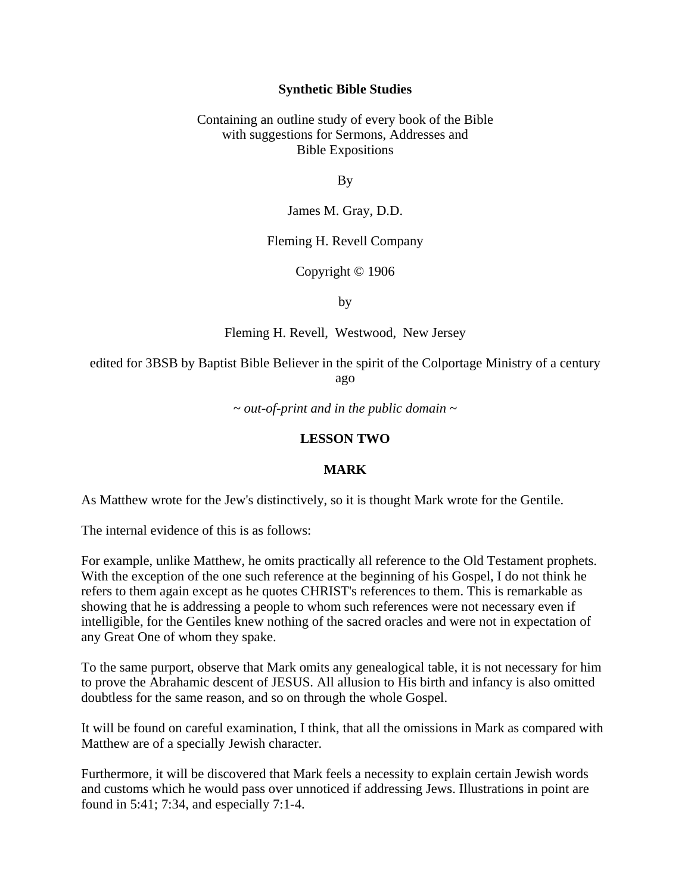### **Synthetic Bible Studies**

### Containing an outline study of every book of the Bible with suggestions for Sermons, Addresses and Bible Expositions

By

James M. Gray, D.D.

### Fleming H. Revell Company

## Copyright © 1906

by

Fleming H. Revell, Westwood, New Jersey

edited for 3BSB by Baptist Bible Believer in the spirit of the Colportage Ministry of a century ago

*~ out-of-print and in the public domain ~*

### **LESSON TWO**

### **MARK**

As Matthew wrote for the Jew's distinctively, so it is thought Mark wrote for the Gentile.

The internal evidence of this is as follows:

For example, unlike Matthew, he omits practically all reference to the Old Testament prophets. With the exception of the one such reference at the beginning of his Gospel, I do not think he refers to them again except as he quotes CHRIST's references to them. This is remarkable as showing that he is addressing a people to whom such references were not necessary even if intelligible, for the Gentiles knew nothing of the sacred oracles and were not in expectation of any Great One of whom they spake.

To the same purport, observe that Mark omits any genealogical table, it is not necessary for him to prove the Abrahamic descent of JESUS. All allusion to His birth and infancy is also omitted doubtless for the same reason, and so on through the whole Gospel.

It will be found on careful examination, I think, that all the omissions in Mark as compared with Matthew are of a specially Jewish character.

Furthermore, it will be discovered that Mark feels a necessity to explain certain Jewish words and customs which he would pass over unnoticed if addressing Jews. Illustrations in point are found in 5:41; 7:34, and especially 7:1-4.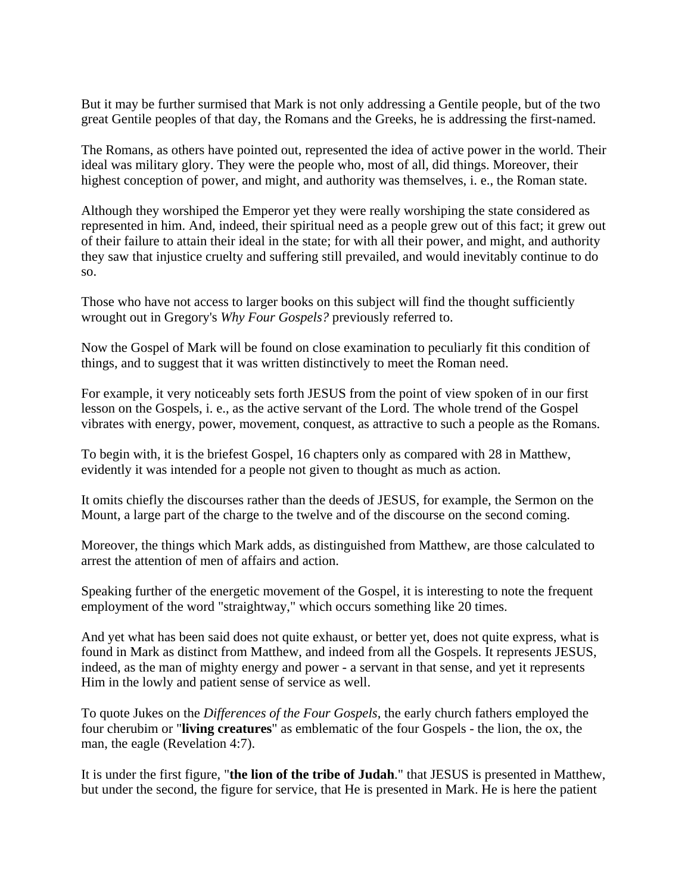But it may be further surmised that Mark is not only addressing a Gentile people, but of the two great Gentile peoples of that day, the Romans and the Greeks, he is addressing the first-named.

The Romans, as others have pointed out, represented the idea of active power in the world. Their ideal was military glory. They were the people who, most of all, did things. Moreover, their highest conception of power, and might, and authority was themselves, i. e., the Roman state.

Although they worshiped the Emperor yet they were really worshiping the state considered as represented in him. And, indeed, their spiritual need as a people grew out of this fact; it grew out of their failure to attain their ideal in the state; for with all their power, and might, and authority they saw that injustice cruelty and suffering still prevailed, and would inevitably continue to do so.

Those who have not access to larger books on this subject will find the thought sufficiently wrought out in Gregory's *Why Four Gospels?* previously referred to.

Now the Gospel of Mark will be found on close examination to peculiarly fit this condition of things, and to suggest that it was written distinctively to meet the Roman need.

For example, it very noticeably sets forth JESUS from the point of view spoken of in our first lesson on the Gospels, i. e., as the active servant of the Lord. The whole trend of the Gospel vibrates with energy, power, movement, conquest, as attractive to such a people as the Romans.

To begin with, it is the briefest Gospel, 16 chapters only as compared with 28 in Matthew, evidently it was intended for a people not given to thought as much as action.

It omits chiefly the discourses rather than the deeds of JESUS, for example, the Sermon on the Mount, a large part of the charge to the twelve and of the discourse on the second coming.

Moreover, the things which Mark adds, as distinguished from Matthew, are those calculated to arrest the attention of men of affairs and action.

Speaking further of the energetic movement of the Gospel, it is interesting to note the frequent employment of the word "straightway," which occurs something like 20 times.

And yet what has been said does not quite exhaust, or better yet, does not quite express, what is found in Mark as distinct from Matthew, and indeed from all the Gospels. It represents JESUS, indeed, as the man of mighty energy and power - a servant in that sense, and yet it represents Him in the lowly and patient sense of service as well.

To quote Jukes on the *Differences of the Four Gospels*, the early church fathers employed the four cherubim or "**living creatures**" as emblematic of the four Gospels - the lion, the ox, the man, the eagle (Revelation 4:7).

It is under the first figure, "**the lion of the tribe of Judah**." that JESUS is presented in Matthew, but under the second, the figure for service, that He is presented in Mark. He is here the patient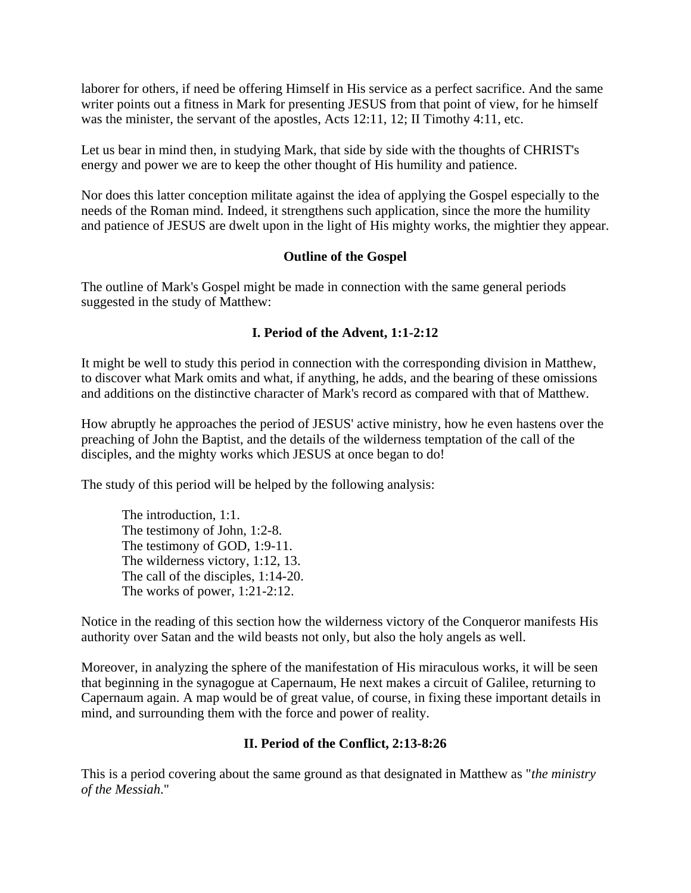laborer for others, if need be offering Himself in His service as a perfect sacrifice. And the same writer points out a fitness in Mark for presenting JESUS from that point of view, for he himself was the minister, the servant of the apostles, Acts 12:11, 12; II Timothy 4:11, etc.

Let us bear in mind then, in studying Mark, that side by side with the thoughts of CHRIST's energy and power we are to keep the other thought of His humility and patience.

Nor does this latter conception militate against the idea of applying the Gospel especially to the needs of the Roman mind. Indeed, it strengthens such application, since the more the humility and patience of JESUS are dwelt upon in the light of His mighty works, the mightier they appear.

# **Outline of the Gospel**

The outline of Mark's Gospel might be made in connection with the same general periods suggested in the study of Matthew:

# **I. Period of the Advent, 1:1-2:12**

It might be well to study this period in connection with the corresponding division in Matthew, to discover what Mark omits and what, if anything, he adds, and the bearing of these omissions and additions on the distinctive character of Mark's record as compared with that of Matthew.

How abruptly he approaches the period of JESUS' active ministry, how he even hastens over the preaching of John the Baptist, and the details of the wilderness temptation of the call of the disciples, and the mighty works which JESUS at once began to do!

The study of this period will be helped by the following analysis:

The introduction, 1:1. The testimony of John, 1:2-8. The testimony of GOD, 1:9-11. The wilderness victory, 1:12, 13. The call of the disciples, 1:14-20. The works of power, 1:21-2:12.

Notice in the reading of this section how the wilderness victory of the Conqueror manifests His authority over Satan and the wild beasts not only, but also the holy angels as well.

Moreover, in analyzing the sphere of the manifestation of His miraculous works, it will be seen that beginning in the synagogue at Capernaum, He next makes a circuit of Galilee, returning to Capernaum again. A map would be of great value, of course, in fixing these important details in mind, and surrounding them with the force and power of reality.

# **II. Period of the Conflict, 2:13-8:26**

This is a period covering about the same ground as that designated in Matthew as "*the ministry of the Messiah*."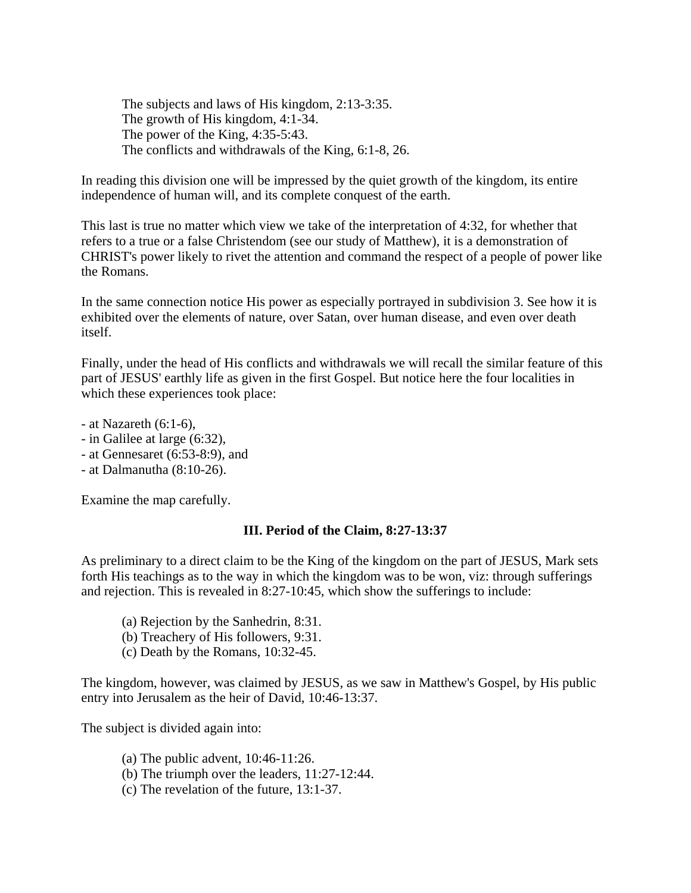The subjects and laws of His kingdom, 2:13-3:35. The growth of His kingdom, 4:1-34. The power of the King, 4:35-5:43. The conflicts and withdrawals of the King, 6:1-8, 26.

In reading this division one will be impressed by the quiet growth of the kingdom, its entire independence of human will, and its complete conquest of the earth.

This last is true no matter which view we take of the interpretation of 4:32, for whether that refers to a true or a false Christendom (see our study of Matthew), it is a demonstration of CHRIST's power likely to rivet the attention and command the respect of a people of power like the Romans.

In the same connection notice His power as especially portrayed in subdivision 3. See how it is exhibited over the elements of nature, over Satan, over human disease, and even over death itself.

Finally, under the head of His conflicts and withdrawals we will recall the similar feature of this part of JESUS' earthly life as given in the first Gospel. But notice here the four localities in which these experiences took place:

- at Nazareth (6:1-6),
- in Galilee at large (6:32),
- at Gennesaret (6:53-8:9), and
- at Dalmanutha (8:10-26).

Examine the map carefully.

## **III. Period of the Claim, 8:27-13:37**

As preliminary to a direct claim to be the King of the kingdom on the part of JESUS, Mark sets forth His teachings as to the way in which the kingdom was to be won, viz: through sufferings and rejection. This is revealed in 8:27-10:45, which show the sufferings to include:

- (a) Rejection by the Sanhedrin, 8:31.
- (b) Treachery of His followers, 9:31.
- (c) Death by the Romans, 10:32-45.

The kingdom, however, was claimed by JESUS, as we saw in Matthew's Gospel, by His public entry into Jerusalem as the heir of David, 10:46-13:37.

The subject is divided again into:

- (a) The public advent, 10:46-11:26.
- (b) The triumph over the leaders, 11:27-12:44.
- (c) The revelation of the future, 13:1-37.